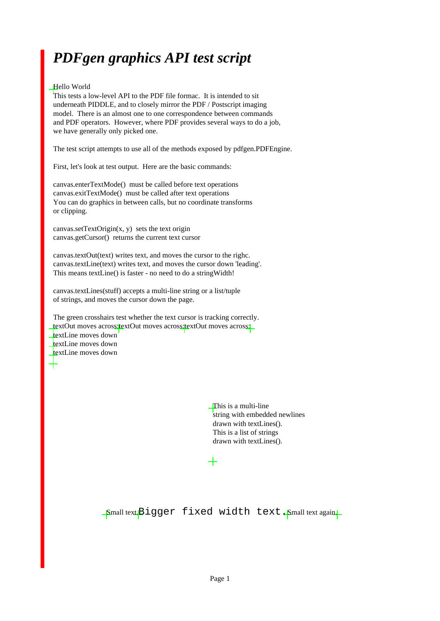#### *PDFgen graphics API test script*

#### Hello World

This tests a low-level API to the PDF file formac. It is intended to sit underneath PIDDLE, and to closely mirror the PDF / Postscript imaging model. There is an almost one to one correspondence between commands and PDF operators. However, where PDF provides several ways to do a job, we have generally only picked one.

The test script attempts to use all of the methods exposed by pdfgen.PDFEngine.

First, let's look at test output. Here are the basic commands:

canvas.enterTextMode() must be called before text operations canvas.exitTextMode() must be called after text operations You can do graphics in between calls, but no coordinate transforms or clipping.

 $c$ anvas.setTextOrigin $(x, y)$  sets the text origin canvas.getCursor() returns the current text cursor

canvas.textOut(text) writes text, and moves the cursor to the righc. canvas.textLine(text) writes text, and moves the cursor down 'leading'. This means textLine() is faster - no need to do a stringWidth!

canvas.textLines(stuff) accepts a multi-line string or a list/tuple of strings, and moves the cursor down the page.

The green crosshairs test whether the text cursor is tracking correctly. textOut moves across: textOut moves across: textOut moves across: textLine moves down textLine moves down textLine moves down

> This is a multi-line string with embedded newlines drawn with textLines(). This is a list of strings drawn with textLines().

Small text.Bigger fixed width text.Small text again.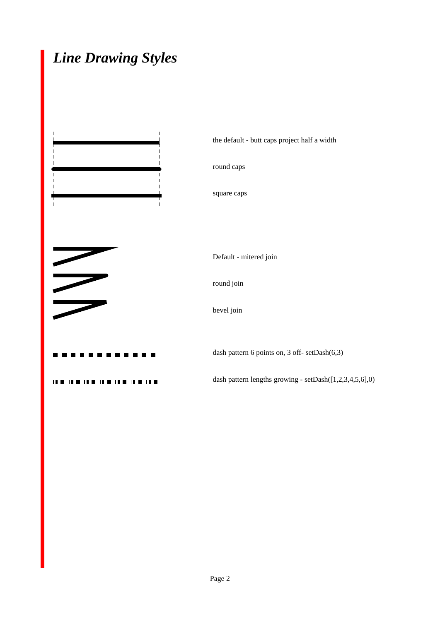#### *Line Drawing Styles*

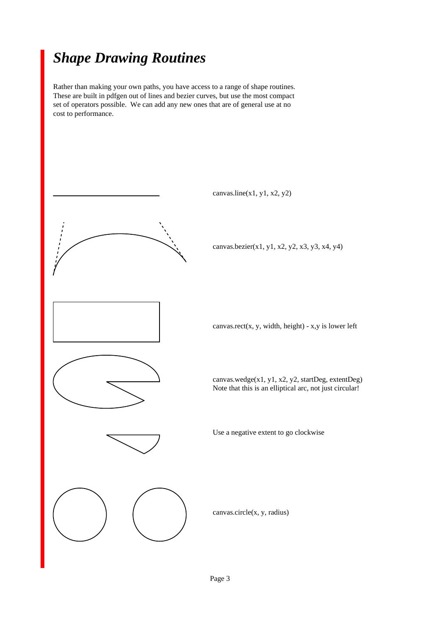#### *Shape Drawing Routines*

Rather than making your own paths, you have access to a range of shape routines. These are built in pdfgen out of lines and bezier curves, but use the most compact set of operators possible. We can add any new ones that are of general use at no cost to performance.

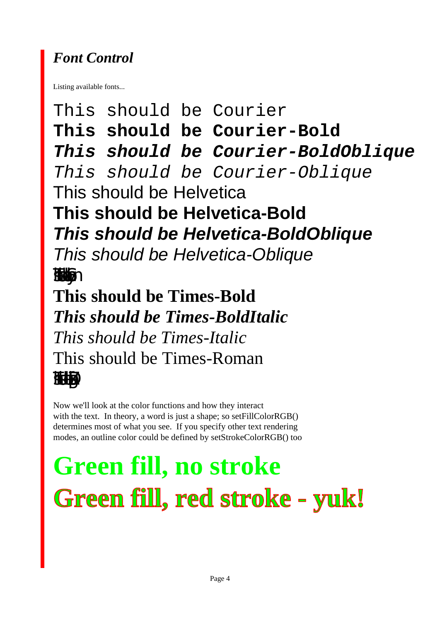### *Font Control*

Listing available fonts...

This should be Courier **This should be Courier-Bold This should be Courier-BoldOblique** This should be Courier-Oblique This should be Helvetica **This should be Helvetica-Bold This should be Helvetica-BoldOblique** This should be Helvetica-Oblique Τηισ σηουλδ βε Σψµβολ **This should be Times-Bold** *This should be Times-BoldItalic This should be Times-Italic* This should be Times-Roman ✴❈❉▲ ▲❈❏◆●❄ ❂❅ ✺❁❐❆✤❉■❇❂❁▼▲

Now we'll look at the color functions and how they interact with the text. In theory, a word is just a shape; so setFillColorRGB() determines most of what you see. If you specify other text rendering modes, an outline color could be defined by setStrokeColorRGB() too

# **Green fill, no stroke Green fill, red stroke - yuk!**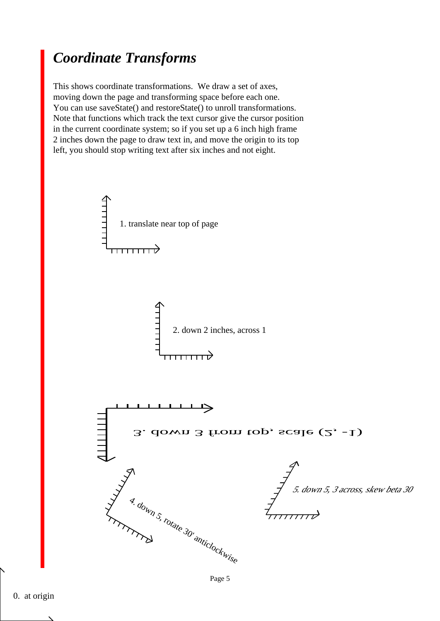#### *Coordinate Transforms*

This shows coordinate transformations. We draw a set of axes, moving down the page and transforming space before each one. You can use saveState() and restoreState() to unroll transformations. Note that functions which track the text cursor give the cursor position in the current coordinate system; so if you set up a 6 inch high frame 2 inches down the page to draw text in, and move the origin to its top left, you should stop writing text after six inches and not eight.

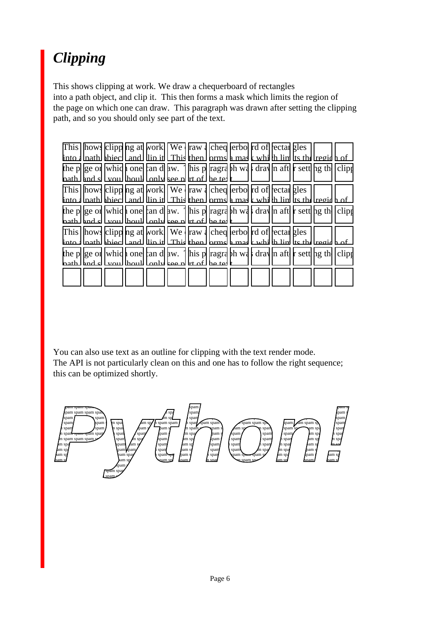# *Clipping*

This shows clipping at work. We draw a chequerboard of rectangles into a path object, and clip it. This then forms a mask which limits the region of the page on which one can draw. This paragraph was drawn after setting the clipping path, and so you should only see part of the text.

| This hows clipp ng at work We raw dched erbo rd of ectar gles                                        |  |
|------------------------------------------------------------------------------------------------------|--|
| linto 1 lpath bbiec   and   lip it   This then   brms   mas k whi   h lin   ts the regid h of        |  |
| the p ge of which one can d aw. This p ragraph was dray in aft r sett bg the clipp                   |  |
| hath I hnd sI Lyou I houll Lonly kee nI tri of I he tel I                                            |  |
| This   hows   clipp   ng at   work     We     raw   cheq   erbo   rd of   ectal gles                 |  |
| into على المعنى المنوك لـ and   ان عمل الله عليه الله عليه الله عليه الله عليه الله عليه الله عليه ا |  |
| the p  ge or  whid one  an d  aw.   his p  ragra  bh wa drav  n aft  r sett  hg th  clipt            |  |
| hath [and s] [you] [hou]] [only kee n] rt of [he ter                                                 |  |
| This how clipp ng at work We raw cheq erbo rd of rectal gles                                         |  |
| عم المنهم المعنى المنابط المسلم العرب المسلم المسلم المنابط المنابط المسلم المنابط المنابط المنابط   |  |
| the p  ge or  whid   one  an d  aw.   his p  ragrd bh wd   dray  n aft  r sett  hg th  clip          |  |
| nath I and all youl lhoull Lonly kee plitt of I he te                                                |  |
|                                                                                                      |  |
|                                                                                                      |  |

You can also use text as an outline for clipping with the text render mode. The API is not particularly clean on this and one has to follow the right sequence; this can be optimized shortly.